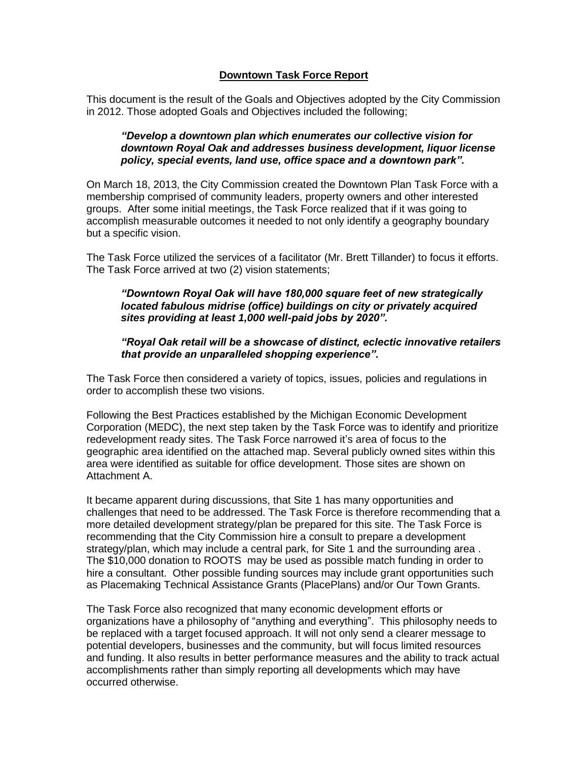# **Downtown Task Force Report**

This document is the result of the Goals and Objectives adopted by the City Commission in 2012. Those adopted Goals and Objectives included the following;

## *"Develop a downtown plan which enumerates our collective vision for downtown Royal Oak and addresses business development, liquor license policy, special events, land use, office space and a downtown park".*

On March 18, 2013, the City Commission created the Downtown Plan Task Force with a membership comprised of community leaders, property owners and other interested groups. After some initial meetings, the Task Force realized that if it was going to accomplish measurable outcomes it needed to not only identify a geography boundary but a specific vision.

The Task Force utilized the services of a facilitator (Mr. Brett Tillander) to focus it efforts. The Task Force arrived at two (2) vision statements;

## *"Downtown Royal Oak will have 180,000 square feet of new strategically located fabulous midrise (office) buildings on city or privately acquired sites providing at least 1,000 well-paid jobs by 2020".*

## *"Royal Oak retail will be a showcase of distinct, eclectic innovative retailers that provide an unparalleled shopping experience".*

The Task Force then considered a variety of topics, issues, policies and regulations in order to accomplish these two visions.

Following the Best Practices established by the Michigan Economic Development Corporation (MEDC), the next step taken by the Task Force was to identify and prioritize redevelopment ready sites. The Task Force narrowed it's area of focus to the geographic area identified on the attached map. Several publicly owned sites within this area were identified as suitable for office development. Those sites are shown on Attachment A.

It became apparent during discussions, that Site 1 has many opportunities and challenges that need to be addressed. The Task Force is therefore recommending that a more detailed development strategy/plan be prepared for this site. The Task Force is recommending that the City Commission hire a consult to prepare a development strategy/plan, which may include a central park, for Site 1 and the surrounding area . The \$10,000 donation to ROOTS may be used as possible match funding in order to hire a consultant. Other possible funding sources may include grant opportunities such as Placemaking Technical Assistance Grants (PlacePlans) and/or Our Town Grants.

The Task Force also recognized that many economic development efforts or organizations have a philosophy of "anything and everything". This philosophy needs to be replaced with a target focused approach. It will not only send a clearer message to potential developers, businesses and the community, but will focus limited resources and funding. It also results in better performance measures and the ability to track actual accomplishments rather than simply reporting all developments which may have occurred otherwise.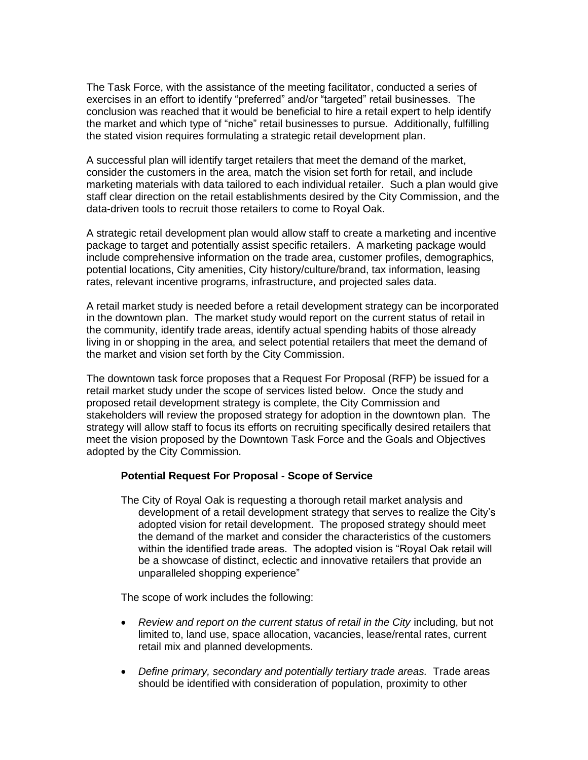The Task Force, with the assistance of the meeting facilitator, conducted a series of exercises in an effort to identify "preferred" and/or "targeted" retail businesses. The conclusion was reached that it would be beneficial to hire a retail expert to help identify the market and which type of "niche" retail businesses to pursue. Additionally, fulfilling the stated vision requires formulating a strategic retail development plan.

A successful plan will identify target retailers that meet the demand of the market, consider the customers in the area, match the vision set forth for retail, and include marketing materials with data tailored to each individual retailer. Such a plan would give staff clear direction on the retail establishments desired by the City Commission, and the data-driven tools to recruit those retailers to come to Royal Oak.

A strategic retail development plan would allow staff to create a marketing and incentive package to target and potentially assist specific retailers. A marketing package would include comprehensive information on the trade area, customer profiles, demographics, potential locations, City amenities, City history/culture/brand, tax information, leasing rates, relevant incentive programs, infrastructure, and projected sales data.

A retail market study is needed before a retail development strategy can be incorporated in the downtown plan. The market study would report on the current status of retail in the community, identify trade areas, identify actual spending habits of those already living in or shopping in the area, and select potential retailers that meet the demand of the market and vision set forth by the City Commission.

The downtown task force proposes that a Request For Proposal (RFP) be issued for a retail market study under the scope of services listed below. Once the study and proposed retail development strategy is complete, the City Commission and stakeholders will review the proposed strategy for adoption in the downtown plan. The strategy will allow staff to focus its efforts on recruiting specifically desired retailers that meet the vision proposed by the Downtown Task Force and the Goals and Objectives adopted by the City Commission.

### **Potential Request For Proposal - Scope of Service**

The City of Royal Oak is requesting a thorough retail market analysis and development of a retail development strategy that serves to realize the City's adopted vision for retail development. The proposed strategy should meet the demand of the market and consider the characteristics of the customers within the identified trade areas. The adopted vision is "Royal Oak retail will be a showcase of distinct, eclectic and innovative retailers that provide an unparalleled shopping experience"

The scope of work includes the following:

- Review and report on the current status of retail in the City including, but not limited to, land use, space allocation, vacancies, lease/rental rates, current retail mix and planned developments.
- *Define primary, secondary and potentially tertiary trade areas.* Trade areas should be identified with consideration of population, proximity to other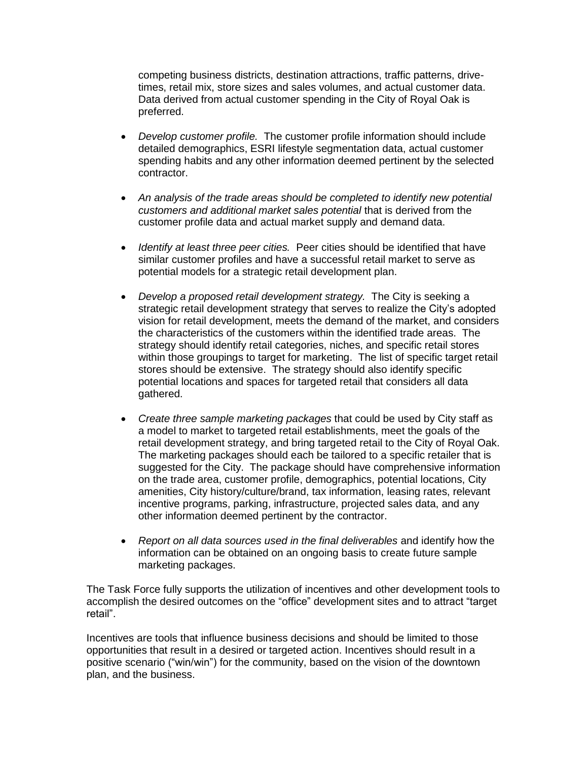competing business districts, destination attractions, traffic patterns, drivetimes, retail mix, store sizes and sales volumes, and actual customer data. Data derived from actual customer spending in the City of Royal Oak is preferred.

- *Develop customer profile.* The customer profile information should include detailed demographics, ESRI lifestyle segmentation data, actual customer spending habits and any other information deemed pertinent by the selected contractor.
- *An analysis of the trade areas should be completed to identify new potential customers and additional market sales potential* that is derived from the customer profile data and actual market supply and demand data.
- *Identify at least three peer cities.* Peer cities should be identified that have similar customer profiles and have a successful retail market to serve as potential models for a strategic retail development plan.
- *Develop a proposed retail development strategy.* The City is seeking a strategic retail development strategy that serves to realize the City's adopted vision for retail development, meets the demand of the market, and considers the characteristics of the customers within the identified trade areas. The strategy should identify retail categories, niches, and specific retail stores within those groupings to target for marketing. The list of specific target retail stores should be extensive. The strategy should also identify specific potential locations and spaces for targeted retail that considers all data gathered.
- *Create three sample marketing packages* that could be used by City staff as a model to market to targeted retail establishments, meet the goals of the retail development strategy, and bring targeted retail to the City of Royal Oak. The marketing packages should each be tailored to a specific retailer that is suggested for the City. The package should have comprehensive information on the trade area, customer profile, demographics, potential locations, City amenities, City history/culture/brand, tax information, leasing rates, relevant incentive programs, parking, infrastructure, projected sales data, and any other information deemed pertinent by the contractor.
- *Report on all data sources used in the final deliverables* and identify how the information can be obtained on an ongoing basis to create future sample marketing packages.

The Task Force fully supports the utilization of incentives and other development tools to accomplish the desired outcomes on the "office" development sites and to attract "target retail".

Incentives are tools that influence business decisions and should be limited to those opportunities that result in a desired or targeted action. Incentives should result in a positive scenario ("win/win") for the community, based on the vision of the downtown plan, and the business.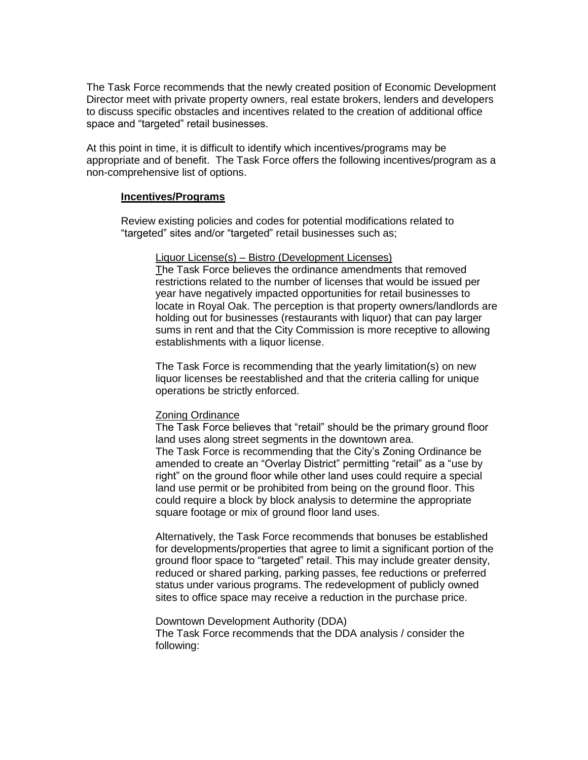The Task Force recommends that the newly created position of Economic Development Director meet with private property owners, real estate brokers, lenders and developers to discuss specific obstacles and incentives related to the creation of additional office space and "targeted" retail businesses.

At this point in time, it is difficult to identify which incentives/programs may be appropriate and of benefit. The Task Force offers the following incentives/program as a non-comprehensive list of options.

#### **Incentives/Programs**

Review existing policies and codes for potential modifications related to "targeted" sites and/or "targeted" retail businesses such as;

#### Liquor License(s) – Bistro (Development Licenses)

The Task Force believes the ordinance amendments that removed restrictions related to the number of licenses that would be issued per year have negatively impacted opportunities for retail businesses to locate in Royal Oak. The perception is that property owners/landlords are holding out for businesses (restaurants with liquor) that can pay larger sums in rent and that the City Commission is more receptive to allowing establishments with a liquor license.

The Task Force is recommending that the yearly limitation(s) on new liquor licenses be reestablished and that the criteria calling for unique operations be strictly enforced.

### Zoning Ordinance

following:

The Task Force believes that "retail" should be the primary ground floor land uses along street segments in the downtown area. The Task Force is recommending that the City's Zoning Ordinance be amended to create an "Overlay District" permitting "retail" as a "use by right" on the ground floor while other land uses could require a special land use permit or be prohibited from being on the ground floor. This could require a block by block analysis to determine the appropriate square footage or mix of ground floor land uses.

Alternatively, the Task Force recommends that bonuses be established for developments/properties that agree to limit a significant portion of the ground floor space to "targeted" retail. This may include greater density, reduced or shared parking, parking passes, fee reductions or preferred status under various programs. The redevelopment of publicly owned sites to office space may receive a reduction in the purchase price.

Downtown Development Authority (DDA) The Task Force recommends that the DDA analysis / consider the